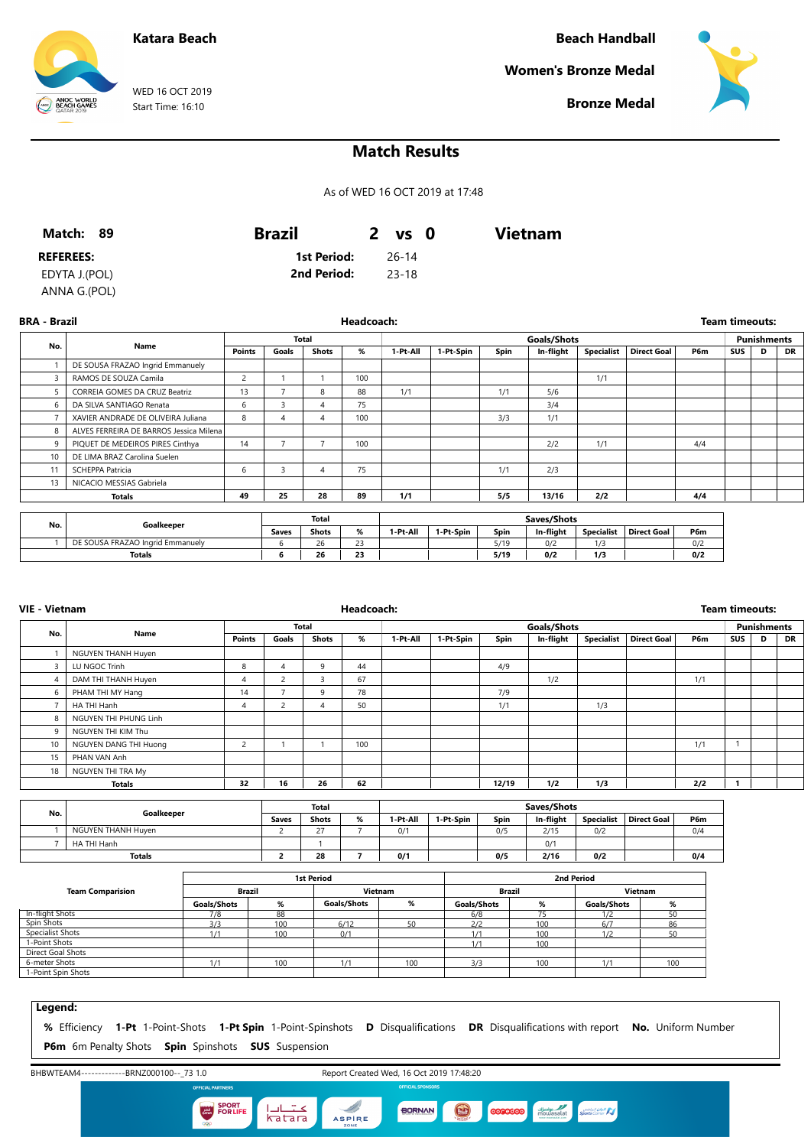## **Katara Beach**

**Beach Handball**

**Women's Bronze Medal**



**Bronze Medal**

# **Match Results**

As of WED 16 OCT 2019 at 17:48

| Match: 89        | <b>Brazil</b> | 2 vs 0  | <b>Vietnam</b> |  |
|------------------|---------------|---------|----------------|--|
| <b>REFEREES:</b> | 1st Period:   | - 26-14 |                |  |
| EDYTA J.(POL)    | 2nd Period:   | -23-18  |                |  |
| ANNA G.(POL)     |               |         |                |  |

**BRA - Brazil Headcoach: Team timeouts: No. Name Total Points Goals Shots % Goals/Shots 1-Pt-All 1-Pt-Spin Spin In-flight Specialist Direct Goal P6m Punishments SUS D DR** 1 DE SOUSA FRAZAO Ingrid Emmanuely 3 RAMOS DE SOUZA Camila 2 1 1 100 1/1 5 CORREIA GOMES DA CRUZ Beatriz 13 7 8 88 1/1 1/1 5/6 6 DA SILVA SANTIAGO Renata 6 3 4 75 3/4 75 3/4 7 XAVIER ANDRADE DE OLIVEIRA Juliana 8 4 4 100 3/3 1/1 8 | ALVES FERREIRA DE BARROS Jessica Milena 9 PIQUET DE MEDEIROS PIRES Cinthya 14 7 7 100 2/2 1/1 4/4 10 DE LIMA BRAZ Carolina Suelen 11 SCHEPPA Patricia 6 3 4 75 1/1 2/3 13 NICACIO MESSIAS Gabriela **Totals 49 25 28 89 1/1 5/5 13/16 2/2 4/4 No. Goalkeeper Total Saves Shots % Saves/Shots 1-Pt-All 1-Pt-Spin Spin In-flight Specialist Direct Goal P6m** 1 DE SOUSA FRAZAO Ingrid Emmanuely 6 26 23 5/19 0/2 1/3 0/2

**Totals 6 26 23 5/19 0/2 1/3 0/2**

| <b>VIE - Vietnam</b> |                       |                |                | Headcoach:   |     |          |           |       |             | <b>Team timeouts:</b> |                    |     |            |                    |           |
|----------------------|-----------------------|----------------|----------------|--------------|-----|----------|-----------|-------|-------------|-----------------------|--------------------|-----|------------|--------------------|-----------|
|                      |                       |                |                | Total        |     |          |           |       | Goals/Shots |                       |                    |     |            | <b>Punishments</b> |           |
| No.                  | Name                  | Points         | Goals          | <b>Shots</b> | %   | 1-Pt-All | 1-Pt-Spin | Spin  | In-flight   | <b>Specialist</b>     | <b>Direct Goal</b> | P6m | <b>SUS</b> | D                  | <b>DR</b> |
|                      | NGUYEN THANH Huyen    |                |                |              |     |          |           |       |             |                       |                    |     |            |                    |           |
| 3                    | LU NGOC Trinh         | 8              | 4              | 9            | 44  |          |           | 4/9   |             |                       |                    |     |            |                    |           |
| $\overline{4}$       | DAM THI THANH Huyen   | 4              | $\overline{c}$ | $\sim$<br>3. | 67  |          |           |       | 1/2         |                       |                    | 1/1 |            |                    |           |
| 6                    | PHAM THI MY Hang      | 14             |                | 9            | 78  |          |           | 7/9   |             |                       |                    |     |            |                    |           |
|                      | HA THI Hanh           | 4              | $\overline{c}$ | 4            | 50  |          |           | 1/1   |             | 1/3                   |                    |     |            |                    |           |
| 8                    | NGUYEN THI PHUNG Linh |                |                |              |     |          |           |       |             |                       |                    |     |            |                    |           |
| 9                    | NGUYEN THI KIM Thu    |                |                |              |     |          |           |       |             |                       |                    |     |            |                    |           |
| 10                   | NGUYEN DANG THI Huong | $\overline{2}$ |                |              | 100 |          |           |       |             |                       |                    | 1/1 |            |                    |           |
| 15                   | PHAN VAN Anh          |                |                |              |     |          |           |       |             |                       |                    |     |            |                    |           |
| 18                   | NGUYEN THI TRA My     |                |                |              |     |          |           |       |             |                       |                    |     |            |                    |           |
|                      | Totals                | 32             | 16             | 26           | 62  |          |           | 12/19 | 1/2         | 1/3                   |                    | 2/2 |            |                    |           |

| No. | Goalkeeper         | <b>Total</b> |              |   | Saves/Shots |           |      |           |                   |             |     |
|-----|--------------------|--------------|--------------|---|-------------|-----------|------|-----------|-------------------|-------------|-----|
|     |                    | <b>Saves</b> | <b>Shots</b> | % | I-Pt-All    | 1-Pt-Spin | Spin | In-fliaht | <b>Specialist</b> | Direct Goal | P6m |
|     | NGUYEN THANH Huven |              | 77           |   | 0/1         |           | 0/5  | 2/15      | 0/2               |             | 0/4 |
|     | HA THI Hanh        |              |              |   |             |           |      | 0/1       |                   |             |     |
|     | Totals             |              | 28           |   | 0/1         |           | 0/5  | 2/16      | 0/2               |             | 0/4 |

|                         |             |     | <b>1st Period</b> |     | 2nd Period    |     |             |     |  |
|-------------------------|-------------|-----|-------------------|-----|---------------|-----|-------------|-----|--|
| <b>Team Comparision</b> | Brazil      |     | Vietnam           |     | <b>Brazil</b> |     | Vietnam     |     |  |
|                         | Goals/Shots | %   | Goals/Shots       | %   | Goals/Shots   | %   | Goals/Shots | %   |  |
| <b>In-flight Shots</b>  | 7/8         | 88  |                   |     | 6/8           |     | 1/2         | 50  |  |
| Spin Shots              | 3/3         | 100 | 6/12              | 50  | 2/2           | 100 | 6/7         | 86  |  |
| Specialist Shots        | 1/1         | 100 | 0/1               |     | 1/1           | 100 | 1/2         | 50  |  |
| 1-Point Shots           |             |     |                   |     | 1/1           | 100 |             |     |  |
| Direct Goal Shots       |             |     |                   |     |               |     |             |     |  |
| 6-meter Shots           | 1/1         | 100 | 1/1               | 100 | 3/3           | 100 | 1/1         | 100 |  |
| 1-Point Spin Shots      |             |     |                   |     |               |     |             |     |  |

#### **Legend:**

**%** Efficiency **1-Pt** 1-Point-Shots **1-Pt Spin** 1-Point-Spinshots **D** Disqualifications **DR** Disqualifications with report **No.** Uniform Number **P6m** 6m Penalty Shots **Spin** Spinshots **SUS** Suspension

BHBWTEAM4-------------BRNZ000100--\_73 1.0 Report Created Wed, 16 Oct 2019 17:48:20 **SPORT**<br> **EXAMPLE FOR LIFE** عتبادا<br>katara D  $\bigcirc$ diale of BORNAN **coneccoo** Sports Corner ASPIRE



WED 16 OCT 2019 Start Time: 16:10